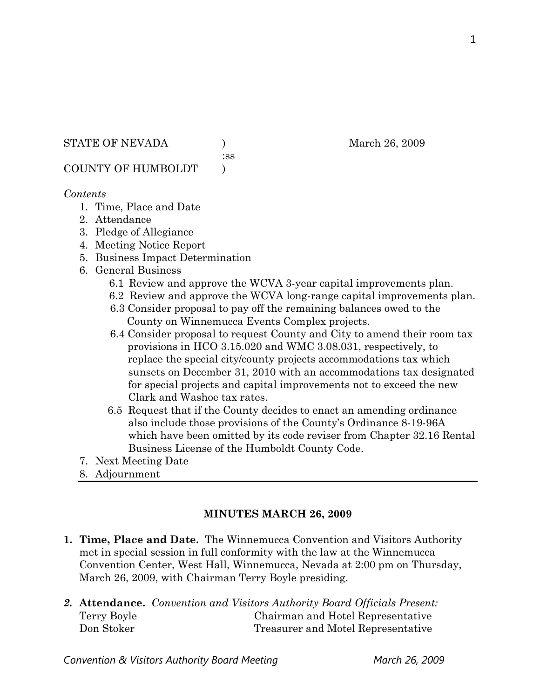STATE OF NEVADA (a) and  $M$  and  $26, 2009$ 

:ss

COUNTY OF HUMBOLDT )

### *Contents*

- 1. Time, Place and Date
- 2. Attendance
- 3. Pledge of Allegiance
- 4. Meeting Notice Report
- 5. Business Impact Determination
- 6. General Business
	- 6.1 Review and approve the WCVA 3-year capital improvements plan.
	- 6.2 Review and approve the WCVA long-range capital improvements plan.
	- 6.3 Consider proposal to pay off the remaining balances owed to the County on Winnemucca Events Complex projects.
	- 6.4 Consider proposal to request County and City to amend their room tax provisions in HCO 3.15.020 and WMC 3.08.031, respectively, to replace the special city/county projects accommodations tax which sunsets on December 31, 2010 with an accommodations tax designated for special projects and capital improvements not to exceed the new Clark and Washoe tax rates.
	- 6.5 Request that if the County decides to enact an amending ordinance also include those provisions of the County's Ordinance 8-19-96A which have been omitted by its code reviser from Chapter 32.16 Rental Business License of the Humboldt County Code.
- 7. Next Meeting Date
- 8. Adjournment

### **MINUTES MARCH 26, 2009**

- **1. Time, Place and Date.** The Winnemucca Convention and Visitors Authority met in special session in full conformity with the law at the Winnemucca Convention Center, West Hall, Winnemucca, Nevada at 2:00 pm on Thursday, March 26, 2009, with Chairman Terry Boyle presiding.
- *2.* **Attendance.** *Convention and Visitors Authority Board Officials Present:*  Terry Boyle Chairman and Hotel Representative Don Stoker Treasurer and Motel Representative

1

Convention & Visitors Authority Board Meeting March 26, 2009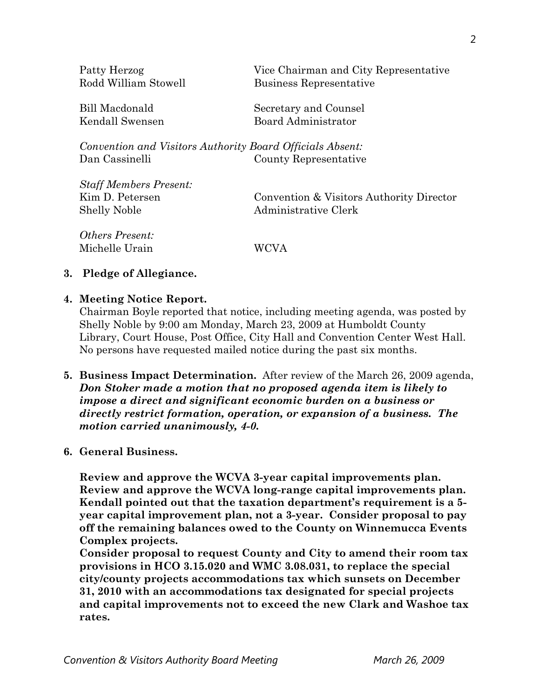| Patty Herzog<br>Rodd William Stowell                      | Vice Chairman and City Representative<br>Business Representative |
|-----------------------------------------------------------|------------------------------------------------------------------|
| Bill Macdonald                                            | Secretary and Counsel                                            |
| Kendall Swensen                                           | Board Administrator                                              |
| Convention and Visitors Authority Board Officials Absent: |                                                                  |
| Dan Cassinelli                                            | County Representative                                            |
| <b>Staff Members Present:</b>                             |                                                                  |
| Kim D. Petersen                                           | Convention & Visitors Authority Director                         |
| <b>Shelly Noble</b>                                       | Administrative Clerk                                             |
| <i>Others Present:</i>                                    |                                                                  |

### **3. Pledge of Allegiance.**

### **4. Meeting Notice Report.**

Michelle Urain WCVA

Chairman Boyle reported that notice, including meeting agenda, was posted by Shelly Noble by 9:00 am Monday, March 23, 2009 at Humboldt County Library, Court House, Post Office, City Hall and Convention Center West Hall. No persons have requested mailed notice during the past six months.

**5. Business Impact Determination.** After review of the March 26, 2009 agenda, *Don Stoker made a motion that no proposed agenda item is likely to impose a direct and significant economic burden on a business or directly restrict formation, operation, or expansion of a business. The motion carried unanimously, 4-0.*

### **6. General Business.**

**Review and approve the WCVA 3-year capital improvements plan. Review and approve the WCVA long-range capital improvements plan. Kendall pointed out that the taxation department's requirement is a 5 year capital improvement plan, not a 3-year. Consider proposal to pay off the remaining balances owed to the County on Winnemucca Events Complex projects.** 

**Consider proposal to request County and City to amend their room tax provisions in HCO 3.15.020 and WMC 3.08.031, to replace the special city/county projects accommodations tax which sunsets on December 31, 2010 with an accommodations tax designated for special projects and capital improvements not to exceed the new Clark and Washoe tax rates.**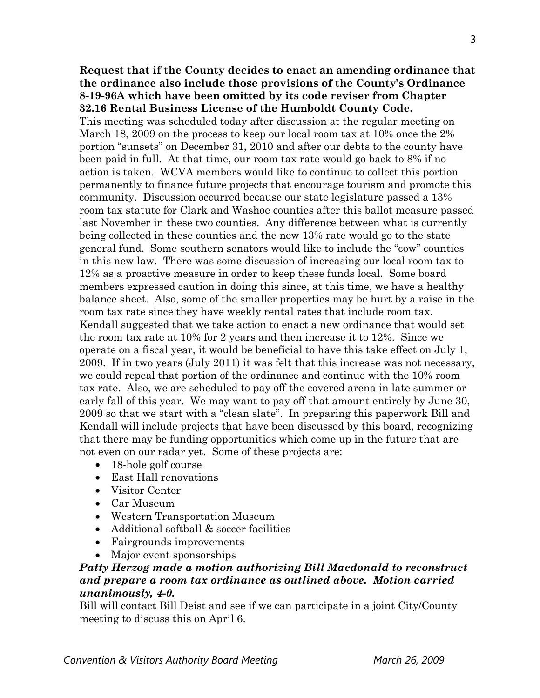## **Request that if the County decides to enact an amending ordinance that the ordinance also include those provisions of the County's Ordinance 8-19-96A which have been omitted by its code reviser from Chapter 32.16 Rental Business License of the Humboldt County Code.**

This meeting was scheduled today after discussion at the regular meeting on March 18, 2009 on the process to keep our local room tax at 10% once the 2% portion "sunsets" on December 31, 2010 and after our debts to the county have been paid in full. At that time, our room tax rate would go back to 8% if no action is taken. WCVA members would like to continue to collect this portion permanently to finance future projects that encourage tourism and promote this community. Discussion occurred because our state legislature passed a 13% room tax statute for Clark and Washoe counties after this ballot measure passed last November in these two counties. Any difference between what is currently being collected in these counties and the new 13% rate would go to the state general fund. Some southern senators would like to include the "cow" counties in this new law. There was some discussion of increasing our local room tax to 12% as a proactive measure in order to keep these funds local. Some board members expressed caution in doing this since, at this time, we have a healthy balance sheet. Also, some of the smaller properties may be hurt by a raise in the room tax rate since they have weekly rental rates that include room tax. Kendall suggested that we take action to enact a new ordinance that would set the room tax rate at 10% for 2 years and then increase it to 12%. Since we operate on a fiscal year, it would be beneficial to have this take effect on July 1, 2009. If in two years (July 2011) it was felt that this increase was not necessary, we could repeal that portion of the ordinance and continue with the 10% room tax rate. Also, we are scheduled to pay off the covered arena in late summer or early fall of this year. We may want to pay off that amount entirely by June 30, 2009 so that we start with a "clean slate". In preparing this paperwork Bill and Kendall will include projects that have been discussed by this board, recognizing that there may be funding opportunities which come up in the future that are not even on our radar yet. Some of these projects are:

- 18-hole golf course
- East Hall renovations
- Visitor Center
- Car Museum
- Western Transportation Museum
- Additional softball & soccer facilities
- Fairgrounds improvements
- Major event sponsorships

## *Patty Herzog made a motion authorizing Bill Macdonald to reconstruct and prepare a room tax ordinance as outlined above. Motion carried unanimously, 4-0.*

Bill will contact Bill Deist and see if we can participate in a joint City/County meeting to discuss this on April 6.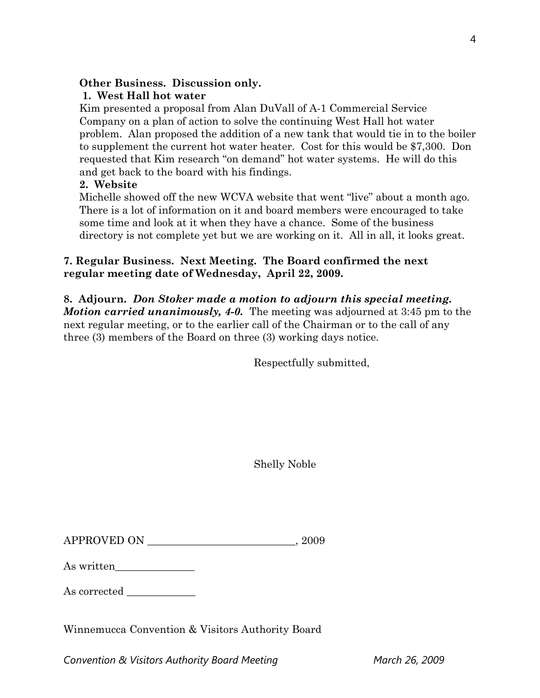## **Other Business. Discussion only.**

# **1. West Hall hot water**

Kim presented a proposal from Alan DuVall of A-1 Commercial Service Company on a plan of action to solve the continuing West Hall hot water problem. Alan proposed the addition of a new tank that would tie in to the boiler to supplement the current hot water heater. Cost for this would be \$7,300. Don requested that Kim research "on demand" hot water systems. He will do this and get back to the board with his findings.

## **2. Website**

Michelle showed off the new WCVA website that went "live" about a month ago. There is a lot of information on it and board members were encouraged to take some time and look at it when they have a chance. Some of the business directory is not complete yet but we are working on it. All in all, it looks great.

# **7. Regular Business. Next Meeting. The Board confirmed the next regular meeting date of Wednesday, April 22, 2009.**

# **8. Adjourn.** *Don Stoker made a motion to adjourn this special meeting.*

*Motion carried unanimously, 4-0.* The meeting was adjourned at 3:45 pm to the next regular meeting, or to the earlier call of the Chairman or to the call of any three (3) members of the Board on three (3) working days notice.

Respectfully submitted,

Shelly Noble

| <b>APPROVED ON</b> | 2009 |
|--------------------|------|
|--------------------|------|

| As written |  |
|------------|--|
|------------|--|

As corrected  $\_\_$ 

Winnemucca Convention & Visitors Authority Board

Convention & Visitors Authority Board Meeting March 26, 2009

4